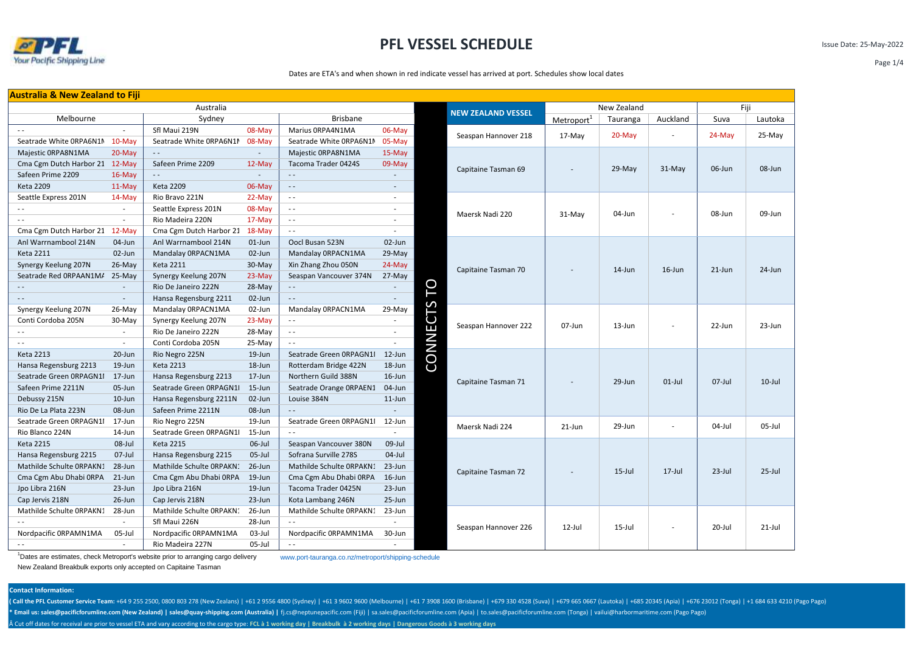

Issue Date: 25-May-2022

Page 1/4

Dates are ETA's and when shown in red indicate vessel has arrived at port. Schedules show local dates

| <b>Australia &amp; New Zealand to Fiji</b> |                          |                          |                 |                          |           |              |                           |                        |           |            |           |           |
|--------------------------------------------|--------------------------|--------------------------|-----------------|--------------------------|-----------|--------------|---------------------------|------------------------|-----------|------------|-----------|-----------|
| Australia                                  |                          |                          |                 |                          |           | New Zealand  | Fiji                      |                        |           |            |           |           |
| Melbourne                                  | Sydney                   |                          | <b>Brisbane</b> |                          |           |              | <b>NEW ZEALAND VESSEL</b> | Metroport <sup>1</sup> | Tauranga  | Auckland   | Suva      | Lautoka   |
| $\sim$ $\sim$                              | $\sim$                   | Sfl Maui 219N            | 08-May          | Marius ORPA4N1MA         | 06-May    |              | Seaspan Hannover 218      | $17-Mav$               | 20-May    |            | $24-May$  | 25-May    |
| Seatrade White ORPA6N1M                    | $10-Mav$                 | Seatrade White ORPA6N1M  | 08-May          | Seatrade White ORPA6N1M  | 05-May    |              |                           |                        |           |            |           |           |
| Majestic ORPA8N1MA                         | $20-May$                 | $\sim$ $\sim$            | $\sim$          | Majestic ORPA8N1MA       | 15-May    |              |                           |                        |           |            |           |           |
| Cma Cgm Dutch Harbor 21                    | 12-May                   | Safeen Prime 2209        | $12-Mav$        | Tacoma Trader 0424S      | 09-May    |              |                           |                        |           | 31-May     | 06-Jun    | 08-Jun    |
| Safeen Prime 2209                          | $16$ -May                | $\sim$ $\sim$            | $\sim$          | $\sim 10$                |           |              | Capitaine Tasman 69       | ÷                      | 29-May    |            |           |           |
| <b>Keta 2209</b>                           | 11-May                   | <b>Keta 2209</b>         | 06-May          | $\sim$ $-$               | $\sim$    |              |                           |                        |           |            |           |           |
| Seattle Express 201N                       | $14-May$                 | Rio Bravo 221N           | 22-May          | $\sim$ $\sim$            | $\sim$    |              |                           |                        |           |            |           |           |
| $\sim$ $\sim$                              | $\sim$                   | Seattle Express 201N     | 08-May          | $\sim$ $\sim$            | $\sim$    |              | Maersk Nadi 220           | 31-May                 | 04-Jun    |            | 08-Jun    | 09-Jun    |
| $\sim$ $-$                                 | $\sim$                   | Rio Madeira 220N         | 17-May          | $\sim$ $\sim$            | $\sim$    |              |                           |                        |           |            |           |           |
| Cma Cgm Dutch Harbor 21                    | $12-May$                 | Cma Cgm Dutch Harbor 21  | 18-May          | $\sim$ $\sim$            | $\sim$    |              |                           |                        |           |            |           |           |
| Anl Warrnambool 214N                       | 04-Jun                   | Anl Warrnambool 214N     | $01$ -Jun       | Oocl Busan 523N          | 02-Jun    |              |                           |                        |           |            |           |           |
| <b>Keta 2211</b>                           | 02-Jun                   | Mandalay ORPACN1MA       | 02-Jun          | Mandalay ORPACN1MA       | 29-May    |              |                           |                        |           |            |           |           |
| Synergy Keelung 207N                       | $26$ -May                | <b>Keta 2211</b>         | 30-May          | Xin Zhang Zhou 050N      | 24-May    |              | Capitaine Tasman 70       |                        | 14-Jun    | $16$ -Jun  | $21$ -Jun | $24$ -Jun |
| Seatrade Red ORPAAN1M/                     | $25-May$                 | Synergy Keelung 207N     | 23-May          | Seaspan Vancouver 374N   | 27-May    |              |                           |                        |           |            |           |           |
|                                            |                          | Rio De Janeiro 222N      | 28-May          | $\sim 10^{-1}$           |           | P            |                           |                        |           |            |           |           |
| $\sim$ $\sim$                              | $\sim$                   | Hansa Regensburg 2211    | 02-Jun          | $\sim 10^{-1}$           | $\sim$    |              |                           |                        |           |            |           |           |
| Synergy Keelung 207N                       | $26$ -May                | Mandalay ORPACN1MA       | 02-Jun          | Mandalay ORPACN1MA       | 29-May    |              |                           |                        |           |            |           |           |
| Conti Cordoba 205N                         | $30-May$                 | Synergy Keelung 207N     | 23-May          | $\sim$ $\sim$            | $\sim$    | ECTS         | Seaspan Hannover 222      | 07-Jun                 | 13-Jun    |            | 22-Jun    | 23-Jun    |
| $\sim$ $-$                                 | $\sim$                   | Rio De Janeiro 222N      | 28-May          | $\sim$ $\sim$            | $\sim$    |              |                           |                        |           |            |           |           |
| $\sim$ $-$                                 | $\overline{\phantom{a}}$ | Conti Cordoba 205N       | 25-May          | $\sim$ $\sim$            | $\sim$    | <b>CONNI</b> |                           |                        |           |            |           |           |
| <b>Keta 2213</b>                           | 20-Jun                   | Rio Negro 225N           | 19-Jun          | Seatrade Green ORPAGN1I  | 12-Jun    |              |                           |                        |           |            |           |           |
| Hansa Regensburg 2213                      | 19-Jun                   | <b>Keta 2213</b>         | 18-Jun          | Rotterdam Bridge 422N    | 18-Jun    |              |                           |                        |           |            |           |           |
| Seatrade Green ORPAGN1I                    | 17-Jun                   | Hansa Regensburg 2213    | 17-Jun          | Northern Guild 388N      | $16$ -Jun |              | Capitaine Tasman 71       |                        | 29-Jun    | $01$ -Jul  | $07$ -Jul | $10$ -Jul |
| Safeen Prime 2211N                         | 05-Jun                   | Seatrade Green ORPAGN1   | $15 - Jun$      | Seatrade Orange ORPAEN1  | 04-Jun    |              |                           |                        |           |            |           |           |
| Debussy 215N                               | 10-Jun                   | Hansa Regensburg 2211N   | 02-Jun          | Louise 384N              | $11$ -Jun |              |                           |                        |           |            |           |           |
| Rio De La Plata 223N                       | 08-Jun                   | Safeen Prime 2211N       | 08-Jun          | $\sim$ $\sim$            |           |              |                           |                        |           |            |           |           |
| Seatrade Green ORPAGN1I                    | 17-Jun                   | Rio Negro 225N           | 19-Jun          | Seatrade Green ORPAGN1I  | 12-Jun    |              | Maersk Nadi 224           | 21-Jun                 | 29-Jun    |            | $04$ -Jul | $05$ -Jul |
| Rio Blanco 224N                            | 14-Jun                   | Seatrade Green ORPAGN1   | 15-Jun          | $\sim$ $\sim$            | $\sim$    |              |                           |                        |           |            |           |           |
| <b>Keta 2215</b>                           | 08-Jul                   | <b>Keta 2215</b>         | $06$ -Jul       | Seaspan Vancouver 380N   | 09-Jul    |              |                           |                        |           |            |           |           |
| Hansa Regensburg 2215                      | $07$ -Jul                | Hansa Regensburg 2215    | $05$ -Jul       | Sofrana Surville 278S    | $04$ -Jul |              |                           |                        |           |            |           |           |
| Mathilde Schulte ORPAKN:                   | 28-Jun                   | Mathilde Schulte ORPAKN: | 26-Jun          | Mathilde Schulte ORPAKN1 | 23-Jun    |              | Capitaine Tasman 72       |                        | $15$ -Jul | $17 -$ Jul | $23$ -Jul | $25$ -Jul |
| Cma Cgm Abu Dhabi ORPA                     | 21-Jun                   | Cma Cgm Abu Dhabi ORPA   | 19-Jun          | Cma Cgm Abu Dhabi ORPA   | 16-Jun    |              |                           |                        |           |            |           |           |
| Jpo Libra 216N                             | 23-Jun                   | Jpo Libra 216N           | 19-Jun          | Tacoma Trader 0425N      | 23-Jun    |              |                           |                        |           |            |           |           |
| Cap Jervis 218N                            | $26$ -Jun                | Cap Jervis 218N          | 23-Jun          | Kota Lambang 246N        | 25-Jun    |              |                           |                        |           |            |           |           |
| Mathilde Schulte ORPAKN1                   | 28-Jun                   | Mathilde Schulte ORPAKN: | 26-Jun          | Mathilde Schulte ORPAKN1 | 23-Jun    |              |                           |                        |           |            |           |           |
| $\sim$ $\sim$                              | $\sim$                   | Sfl Maui 226N            | 28-Jun          | $\sim$ $\sim$            | $\sim$    |              | Seaspan Hannover 226      | $12$ -Jul              | 15-Jul    |            | 20-Jul    | $21$ -Jul |
| Nordpacific ORPAMN1MA                      | 05-Jul                   | Nordpacific ORPAMN1MA    | $03$ -Jul       | Nordpacific ORPAMN1MA    | 30-Jun    |              |                           |                        |           |            |           |           |
|                                            |                          | Rio Madeira 227N         | $05$ -Jul       | $\sim$ $-$               |           |              |                           |                        |           |            |           |           |

<sup>1</sup>Dates are estimates, check Metroport's website prior to arranging cargo delivery www.port-tauranga.co.nz/metroport/shipping-schedule

New Zealand Breakbulk exports only accepted on Capitaine Tasman

### **Contact Information:**

(Call the PFL Customer Service Team: +64 9 255 2500, 0800 803 278 (New Zealans) | +61 2 9556 4800 (Sydney) | +61 3 9602 9600 (Melbourne) | +61 7 3908 1600 (Brisbane) | +679 330 4528 (Suva) | +679 665 0667 (Lautoka) | +685 \* Email us: sales@pacificforumline.com (New Zealand) | sales@quay-shipping.com (Australia) | fj.cs@neptunepacific.com (Fiji) | sa.sales@pacificforumline.com (Apia) | to.sales@pacificforumline.com (Tonga) | vailui@harbormar Cut off dates for receival are prior to vessel ETA and vary according to the cargo type: **FCL à 1 working day | Breakbulk à 2 working days | Dangerous Goods à 3 working days**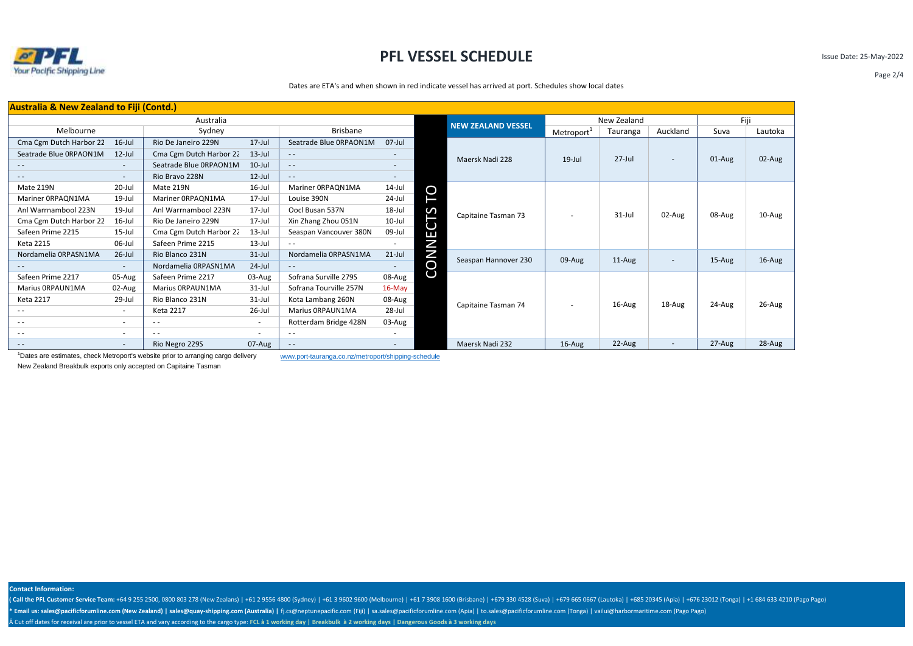

Issue Date: 25-May-2022

Dates are ETA's and when shown in red indicate vessel has arrived at port. Schedules show local dates

| <b>Australia &amp; New Zealand to Fiji (Contd.)</b> |                           |                         |            |                        |                          |              |                           |                          |             |                          |         |        |
|-----------------------------------------------------|---------------------------|-------------------------|------------|------------------------|--------------------------|--------------|---------------------------|--------------------------|-------------|--------------------------|---------|--------|
| Australia                                           |                           |                         |            |                        |                          |              | <b>NEW ZEALAND VESSEL</b> |                          | New Zealand | Fiji                     |         |        |
| Melbourne                                           | <b>Brisbane</b><br>Sydney |                         |            |                        |                          |              | Metroport <sup>+</sup>    | Tauranga                 | Auckland    | Suva                     | Lautoka |        |
| Cma Cgm Dutch Harbor 22                             | $16$ -Jul                 | Rio De Janeiro 229N     | $17 -$ Jul | Seatrade Blue ORPAON1M | $07$ -Jul                |              |                           |                          |             |                          | 01-Aug  | 02-Aug |
| Seatrade Blue ORPAON1M                              | $12$ -Jul                 | Cma Cgm Dutch Harbor 22 | $13$ -Jul  | $\sim$ $\sim$          |                          |              | Maersk Nadi 228           | $19$ -Jul                | $27$ -Jul   | $\overline{\phantom{a}}$ |         |        |
| $\frac{1}{2}$                                       | $\sim$                    | Seatrade Blue ORPAON1M  | $10$ -Jul  | $\frac{1}{2}$          |                          |              |                           |                          |             |                          |         |        |
| $\cdots$                                            | $\sim$                    | Rio Bravo 228N          | $12$ -Jul  | $\sim$ $\sim$          | $\overline{\phantom{a}}$ |              |                           |                          |             |                          |         |        |
| Mate 219N                                           | 20-Jul                    | Mate 219N               | 16-Jul     | Mariner ORPAQN1MA      | 14-Jul                   |              |                           |                          |             |                          |         |        |
| Mariner 0RPAQN1MA                                   | 19-Jul                    | Mariner ORPAQN1MA       | 17-Jul     | Louise 390N            | 24-Jul                   | ГO           |                           |                          |             |                          |         |        |
| Anl Warrnambool 223N                                | 19-Jul                    | Anl Warrnambool 223N    | 17-Jul     | Oocl Busan 537N        | 18-Jul                   |              | Capitaine Tasman 73       | $\overline{\phantom{a}}$ | 31-Jul      | 02-Aug                   | 08-Aug  | 10-Aug |
| Cma Cgm Dutch Harbor 22                             | 16-Jul                    | Rio De Janeiro 229N     | 17-Jul     | Xin Zhang Zhou 051N    | 10-Jul                   | ECTS         |                           |                          |             |                          |         |        |
| Safeen Prime 2215                                   | 15-Jul                    | Cma Cgm Dutch Harbor 22 | $13$ -Jul  | Seaspan Vancouver 380N | 09-Jul                   |              |                           |                          |             |                          |         |        |
| Keta 2215                                           | 06-Jul                    | Safeen Prime 2215       | $13$ -Jul  | $\sim$ $\sim$          |                          |              |                           |                          |             |                          |         |        |
| Nordamelia ORPASN1MA                                | $26$ -Jul                 | Rio Blanco 231N         | $31$ -Jul  | Nordamelia ORPASN1MA   | $21$ -Jul                | <b>CONNI</b> | Seaspan Hannover 230      | 09-Aug                   | $11-Aug$    | ۰                        | 15-Aug  | 16-Aug |
|                                                     | $\sim$                    | Nordamelia ORPASN1MA    | $24$ -Jul  | $\sim$ $\sim$          |                          |              |                           |                          |             |                          |         |        |
| Safeen Prime 2217                                   | 05-Aug                    | Safeen Prime 2217       | 03-Aug     | Sofrana Surville 279S  | 08-Aug                   |              |                           |                          |             |                          |         |        |
| Marius ORPAUN1MA                                    | 02-Aug                    | Marius ORPAUN1MA        | $31$ -Jul  | Sofrana Tourville 257N | $16$ -May                |              |                           |                          |             |                          |         |        |
| Keta 2217                                           | 29-Jul                    | Rio Blanco 231N         | 31-Jul     | Kota Lambang 260N      | 08-Aug                   |              | Capitaine Tasman 74       |                          |             |                          | 24-Aug  | 26-Aug |
| $\cdots$                                            | $\sim$                    | <b>Keta 2217</b>        | 26-Jul     | Marius ORPAUN1MA       | 28-Jul                   |              |                           | $\overline{\phantom{a}}$ | 16-Aug      | 18-Aug                   |         |        |
| $\cdots$                                            | $\sim$                    | $ -$                    | ۰.         | Rotterdam Bridge 428N  | 03-Aug                   |              |                           |                          |             |                          |         |        |
| $ -$                                                | $\sim$                    | $\frac{1}{2}$           | $\sim$     | $\sim$ $\sim$          |                          |              |                           |                          |             |                          |         |        |
| $ -$                                                | $\sim$                    | Rio Negro 229S          | 07-Aug     | $\frac{1}{2}$          |                          |              | Maersk Nadi 232           | 16-Aug                   | 22-Aug      | $\overline{\phantom{a}}$ | 27-Aug  | 28-Aug |

<sup>1</sup>Dates are estimates, check Metroport's website prior to arranging cargo delivery www.port-tauranga.co.nz/metroport/shipping-schedule New Zealand Breakbulk exports only accepted on Capitaine Tasman

**Contact Information:**

(Call the PFL Customer Service Team: +64 9 255 2500, 0800 803 278 (New Zealans) | +61 2 9556 4800 (Sydney) | +61 3 9602 9600 (Melbourne) | +61 7 3908 1600 (Brisbane) | +679 330 4528 (Suva) | +67 0 665 (Lautoka) | +685 2034 \* Email us: sales@pacificforumline.com (New Zealand) | sales@quay-shipping.com (Australia) | fj.cs@neptunepacific.com (Fiji) | sa.sales@pacificforumline.com (Apia) | to.sales@pacificforumline.com (Tonga) | vailui@harbormar Cut off dates for receival are prior to vessel ETA and vary according to the cargo type: **FCL à 1 working day | Breakbulk à 2 working days | Dangerous Goods à 3 working days**

Page 2/4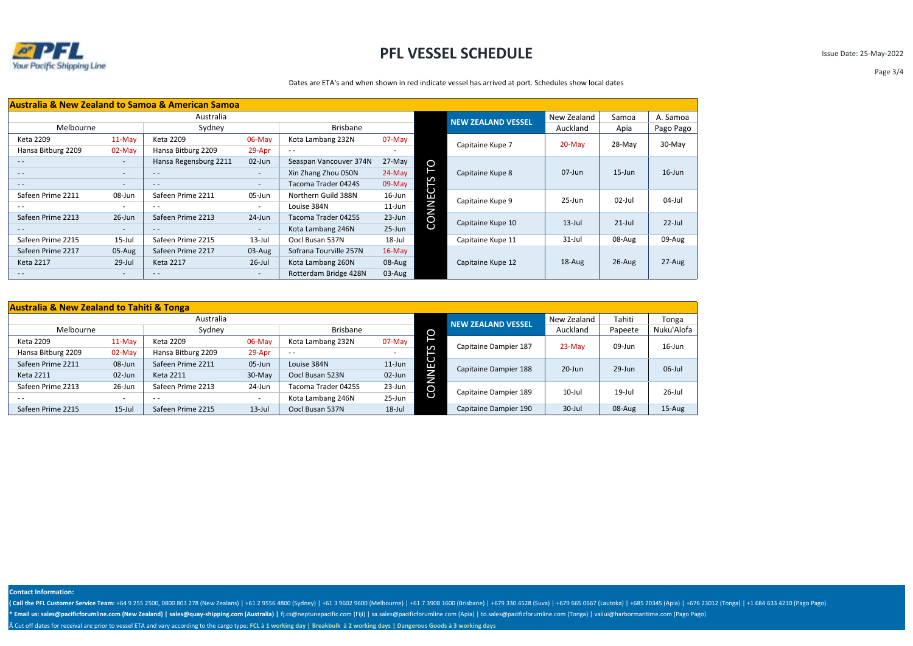

Issue Date: 25-May-2022

### Dates are ETA's and when shown in red indicate vessel has arrived at port. Schedules show local dates

| <b>Australia &amp; New Zealand to Samoa &amp; American Samoa</b> |                          |                       |                          |                        |            |                           |                   |            |            |           |
|------------------------------------------------------------------|--------------------------|-----------------------|--------------------------|------------------------|------------|---------------------------|-------------------|------------|------------|-----------|
| Australia                                                        |                          |                       |                          |                        |            | <b>NEW ZEALAND VESSEL</b> | New Zealand       | Samoa      | A. Samoa   |           |
| Melbourne                                                        |                          | Sydney                |                          | Brisbane               |            |                           |                   | Auckland   | Apia       | Pago Pago |
| Keta 2209                                                        | $11-May$                 | Keta 2209             | 06-May                   | Kota Lambang 232N      | $07$ -May  |                           | Capitaine Kupe 7  | $20$ -May  | 28-May     | 30-May    |
| Hansa Bitburg 2209                                               | $02$ -May                | Hansa Bitburg 2209    | 29-Apr                   | $ -$                   |            |                           |                   |            |            |           |
| $ -$                                                             | $\overline{\phantom{a}}$ | Hansa Regensburg 2211 | 02-Jun                   | Seaspan Vancouver 374N | 27-May     | P                         |                   |            |            |           |
| $\frac{1}{2}$                                                    | $\overline{\phantom{a}}$ | $- -$                 | ٠                        | Xin Zhang Zhou 050N    | $24-May$   |                           | Capitaine Kupe 8  | 07-Jun     | $15 - Jun$ | $16$ -Jun |
| $\frac{1}{2}$                                                    | $\overline{\phantom{a}}$ | $- -$                 | $\overline{\phantom{a}}$ | Tacoma Trader 0424S    | 09-May     | S                         |                   |            |            |           |
| Safeen Prime 2211                                                | 08-Jun                   | Safeen Prime 2211     | 05-Jun                   | Northern Guild 388N    | 16-Jun     | ш                         | Capitaine Kupe 9  | $25 - Jun$ | 02-Jul     | $04$ -Jul |
|                                                                  |                          | $- -$                 |                          | Louise 384N            | $11$ -Jun  | Ζ<br>N                    |                   |            |            |           |
| Safeen Prime 2213                                                | $26$ -Jun                | Safeen Prime 2213     | 24-Jun                   | Tacoma Trader 0425S    | 23-Jun     | O                         |                   | $13$ -Jul  | $21$ -Jul  | $22$ -Jul |
| $\frac{1}{2}$                                                    | $\qquad \qquad -$        | $- -$                 | $\sim$                   | Kota Lambang 246N      | $25 - Jun$ | Ō                         | Capitaine Kupe 10 |            |            |           |
| Safeen Prime 2215                                                | $15$ -Jul                | Safeen Prime 2215     | $13$ -Jul                | Oocl Busan 537N        | 18-Jul     |                           | Capitaine Kupe 11 | $31$ -Jul  | 08-Aug     | 09-Aug    |
| Safeen Prime 2217                                                | $05-Aug$                 | Safeen Prime 2217     | $03$ -Aug                | Sofrana Tourville 257N | $16$ -May  |                           |                   |            |            |           |
| <b>Keta 2217</b>                                                 | $29$ -Jul                | <b>Keta 2217</b>      | $26$ -Jul                | Kota Lambang 260N      | 08-Aug     |                           | Capitaine Kupe 12 | 18-Aug     | $26$ -Aug  | $27-Aug$  |
| $ -$                                                             | $\sim$                   | $- -$                 | $\overline{\phantom{a}}$ | Rotterdam Bridge 428N  | $03$ -Aug  |                           |                   |            |            |           |

| <b>Australia &amp; New Zealand to Tahiti &amp; Tonga</b> |           |                    |            |                     |            |         |                           |             |           |            |
|----------------------------------------------------------|-----------|--------------------|------------|---------------------|------------|---------|---------------------------|-------------|-----------|------------|
|                                                          | Australia |                    |            |                     |            |         | <b>NEW ZEALAND VESSEL</b> | New Zealand | Tahiti    | Tonga      |
| Melbourne                                                |           | Sydney             |            | Brisbane            |            | O       |                           | Auckland    | Papeete   | Nuku'Alofa |
| Keta 2209                                                | 11-May    | Keta 2209          | $06$ -May  | Kota Lambang 232N   | 07-May     |         | Capitaine Dampier 187     | 23-May      | 09-Jun    | $16$ -Jun  |
| Hansa Bitburg 2209                                       | $02-May$  | Hansa Bitburg 2209 | 29-Apr     | $ -$                |            | S       |                           |             |           |            |
| Safeen Prime 2211                                        | 08-Jun    | Safeen Prime 2211  | $05 - Jun$ | Louise 384N         | $11$ -Jun  | U<br>Е  | Capitaine Dampier 188     | $20 - Jun$  | 29-Jun    | $06$ -Jul  |
| Keta 2211                                                | 02-Jun    | <b>Keta 2211</b>   | 30-May     | Oocl Busan 523N     | 02-Jun     | J<br>Ξ. |                           |             |           |            |
| Safeen Prime 2213                                        | $26$ -Jun | Safeen Prime 2213  | 24-Jun     | Tacoma Trader 0425S | $23 - Jun$ | O       | Capitaine Dampier 189     | $10$ -Jul   | $19$ -Jul | $26$ -Jul  |
| $- -$                                                    |           | $ -$               | $\sim$     | Kota Lambang 246N   | 25-Jun     |         |                           |             |           |            |
| Safeen Prime 2215                                        | $15$ -Jul | Safeen Prime 2215  | $13$ -Jul  | Oocl Busan 537N     | $18$ -Jul  |         | Capitaine Dampier 190     | $30 -$ Jul  | 08-Aug    | $15-Au$ g  |

**Contact Information:**

(Call the PFL Customer Service Team: +64 9 255 2500, 0800 803 278 (New Zealans) | +61 2 9556 4800 (Sydney) | +61 3 9602 9600 (Melbourne) | +61 7 3908 1600 (Brisbane) | +679 330 4528 (Suva) | +679 665 0667 (Lautoka) | +685 \* Email us: sales@pacificforumline.com (New Zealand) | sales@quay-shipping.com (Australia) | fj.cs@neptunepacific.com (Fiji) | sa.sales@pacificforumline.com (Apia) | to.sales@pacificforumline.com (Tonga) | vailui@harbormar Cut off dates for receival are prior to vessel ETA and vary according to the cargo type: **FCL à 1 working day | Breakbulk à 2 working days | Dangerous Goods à 3 working days**

Page 3/4